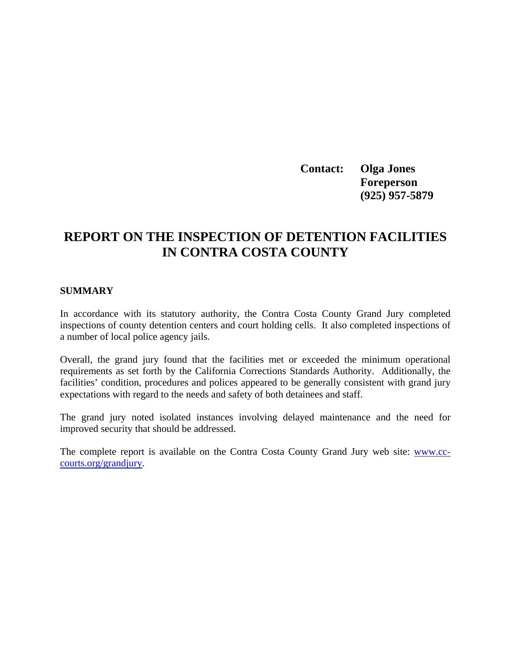**Contact: Olga Jones Foreperson (925) 957-5879** 

# **REPORT ON THE INSPECTION OF DETENTION FACILITIES IN CONTRA COSTA COUNTY**

#### **SUMMARY**

In accordance with its statutory authority, the Contra Costa County Grand Jury completed inspections of county detention centers and court holding cells. It also completed inspections of a number of local police agency jails.

Overall, the grand jury found that the facilities met or exceeded the minimum operational requirements as set forth by the California Corrections Standards Authority. Additionally, the facilities' condition, procedures and polices appeared to be generally consistent with grand jury expectations with regard to the needs and safety of both detainees and staff.

The grand jury noted isolated instances involving delayed maintenance and the need for improved security that should be addressed.

The complete report is available on the Contra Costa County Grand Jury web site: [www.cc](http://www.cc-courts.org/grandjury)[courts.org/grandjury](http://www.cc-courts.org/grandjury).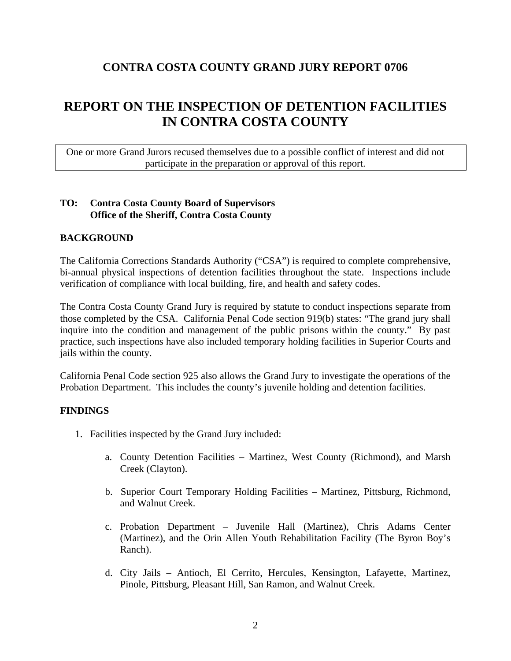## **CONTRA COSTA COUNTY GRAND JURY REPORT 0706**

# **REPORT ON THE INSPECTION OF DETENTION FACILITIES IN CONTRA COSTA COUNTY**

One or more Grand Jurors recused themselves due to a possible conflict of interest and did not participate in the preparation or approval of this report.

### **TO: Contra Costa County Board of Supervisors Office of the Sheriff, Contra Costa County**

### **BACKGROUND**

The California Corrections Standards Authority ("CSA") is required to complete comprehensive, bi-annual physical inspections of detention facilities throughout the state. Inspections include verification of compliance with local building, fire, and health and safety codes.

The Contra Costa County Grand Jury is required by statute to conduct inspections separate from those completed by the CSA. California Penal Code section 919(b) states: "The grand jury shall inquire into the condition and management of the public prisons within the county." By past practice, such inspections have also included temporary holding facilities in Superior Courts and jails within the county.

California Penal Code section 925 also allows the Grand Jury to investigate the operations of the Probation Department. This includes the county's juvenile holding and detention facilities.

#### **FINDINGS**

- 1. Facilities inspected by the Grand Jury included:
	- a. County Detention Facilities Martinez, West County (Richmond), and Marsh Creek (Clayton).
	- b. Superior Court Temporary Holding Facilities Martinez, Pittsburg, Richmond, and Walnut Creek.
	- c. Probation Department Juvenile Hall (Martinez), Chris Adams Center (Martinez), and the Orin Allen Youth Rehabilitation Facility (The Byron Boy's Ranch).
	- d. City Jails Antioch, El Cerrito, Hercules, Kensington, Lafayette, Martinez, Pinole, Pittsburg, Pleasant Hill, San Ramon, and Walnut Creek.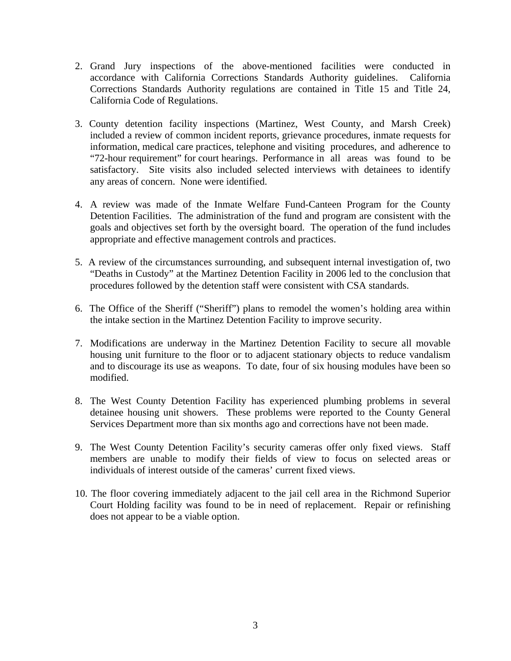- 2. Grand Jury inspections of the above-mentioned facilities were conducted in accordance with California Corrections Standards Authority guidelines. California Corrections Standards Authority regulations are contained in Title 15 and Title 24, California Code of Regulations.
- 3. County detention facility inspections (Martinez, West County, and Marsh Creek) included a review of common incident reports, grievance procedures, inmate requests for information, medical care practices, telephone and visiting procedures, and adherence to "72-hour requirement" for court hearings. Performance in all areas was found to be satisfactory. Site visits also included selected interviews with detainees to identify any areas of concern. None were identified.
- 4. A review was made of the Inmate Welfare Fund-Canteen Program for the County Detention Facilities. The administration of the fund and program are consistent with the goals and objectives set forth by the oversight board. The operation of the fund includes appropriate and effective management controls and practices.
- 5. A review of the circumstances surrounding, and subsequent internal investigation of, two "Deaths in Custody" at the Martinez Detention Facility in 2006 led to the conclusion that procedures followed by the detention staff were consistent with CSA standards.
- 6. The Office of the Sheriff ("Sheriff") plans to remodel the women's holding area within the intake section in the Martinez Detention Facility to improve security.
- 7. Modifications are underway in the Martinez Detention Facility to secure all movable housing unit furniture to the floor or to adjacent stationary objects to reduce vandalism and to discourage its use as weapons. To date, four of six housing modules have been so modified.
- 8. The West County Detention Facility has experienced plumbing problems in several detainee housing unit showers. These problems were reported to the County General Services Department more than six months ago and corrections have not been made.
- 9. The West County Detention Facility's security cameras offer only fixed views. Staff members are unable to modify their fields of view to focus on selected areas or individuals of interest outside of the cameras' current fixed views.
- 10. The floor covering immediately adjacent to the jail cell area in the Richmond Superior Court Holding facility was found to be in need of replacement. Repair or refinishing does not appear to be a viable option.